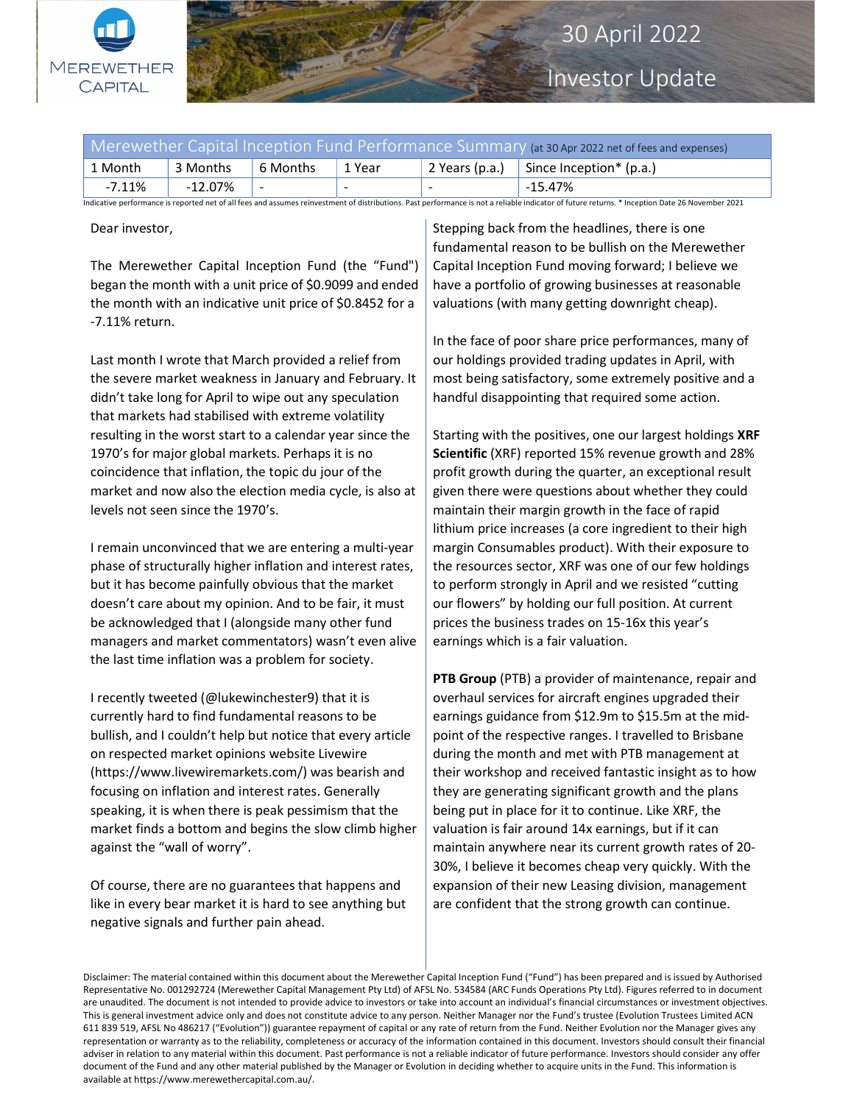

## 30 April 2022

Investor Update

| Merewether Capital Inception Fund Performance Summary (at 30 Apr 2022 net of fees and expenses)                                                                                                 |          |          |                          |                |                           |
|-------------------------------------------------------------------------------------------------------------------------------------------------------------------------------------------------|----------|----------|--------------------------|----------------|---------------------------|
| 1 Month                                                                                                                                                                                         | 3 Months | 6 Months | 1 Year                   | 2 Years (p.a.) | Since Inception* $(p.a.)$ |
| $-7.11\%$                                                                                                                                                                                       | -12.07%  |          | $\overline{\phantom{0}}$ |                | -15.47%                   |
| Indicative performance is reported net of all fees and assumes reinvestment of distributions. Past performance is not a reliable indicator of future returns. * Inception Date 26 November 2021 |          |          |                          |                |                           |

Dear investor,

The Merewether Capital Inception Fund (the "Fund") began the month with a unit price of \$0.9099 and ended the month with an indicative unit price of \$0.8452 for a -7.11% return.

Last month I wrote that March provided a relief from the severe market weakness in January and February. It didn't take long for April to wipe out any speculation that markets had stabilised with extreme volatility resulting in the worst start to a calendar year since the 1970's for major global markets. Perhaps it is no coincidence that inflation, the topic du jour of the market and now also the election media cycle, is also at levels not seen since the 1970's.

I remain unconvinced that we are entering a multi-year phase of structurally higher inflation and interest rates, but it has become painfully obvious that the market doesn't care about my opinion. And to be fair, it must be acknowledged that I (alongside many other fund managers and market commentators) wasn't even alive the last time inflation was a problem for society.

I recently tweeted (@lukewinchester9) that it is currently hard to find fundamental reasons to be bullish, and I couldn't help but notice that every article on respected market opinions website Livewire (https://www.livewiremarkets.com/) was bearish and focusing on inflation and interest rates. Generally speaking, it is when there is peak pessimism that the market finds a bottom and begins the slow climb higher against the "wall of worry".

Of course, there are no guarantees that happens and like in every bear market it is hard to see anything but negative signals and further pain ahead.

Stepping back from the headlines, there is one fundamental reason to be bullish on the Merewether Capital Inception Fund moving forward; I believe we have a portfolio of growing businesses at reasonable valuations (with many getting downright cheap).

In the face of poor share price performances, many of our holdings provided trading updates in April, with most being satisfactory, some extremely positive and a handful disappointing that required some action.

Starting with the positives, one our largest holdings XRF Scientific (XRF) reported 15% revenue growth and 28% profit growth during the quarter, an exceptional result given there were questions about whether they could maintain their margin growth in the face of rapid lithium price increases (a core ingredient to their high margin Consumables product). With their exposure to the resources sector, XRF was one of our few holdings to perform strongly in April and we resisted "cutting our flowers" by holding our full position. At current prices the business trades on 15-16x this year's earnings which is a fair valuation.

PTB Group (PTB) a provider of maintenance, repair and overhaul services for aircraft engines upgraded their earnings guidance from \$12.9m to \$15.5m at the midpoint of the respective ranges. I travelled to Brisbane during the month and met with PTB management at their workshop and received fantastic insight as to how they are generating significant growth and the plans being put in place for it to continue. Like XRF, the valuation is fair around 14x earnings, but if it can maintain anywhere near its current growth rates of 20- 30%, I believe it becomes cheap very quickly. With the expansion of their new Leasing division, management are confident that the strong growth can continue.

Disclaimer: The material contained within this document about the Merewether Capital Inception Fund ("Fund") has been prepared and is issued by Authorised Representative No. 001292724 (Merewether Capital Management Pty Ltd) of AFSL No. 534584 (ARC Funds Operations Pty Ltd). Figures referred to in document are unaudited. The document is not intended to provide advice to investors or take into account an individual's financial circumstances or investment objectives. This is general investment advice only and does not constitute advice to any person. Neither Manager nor the Fund's trustee (Evolution Trustees Limited ACN 611 839 519, AFSL No 486217 ("Evolution")) guarantee repayment of capital or any rate of return from the Fund. Neither Evolution nor the Manager gives any representation or warranty as to the reliability, completeness or accuracy of the information contained in this document. Investors should consult their financial adviser in relation to any material within this document. Past performance is not a reliable indicator of future performance. Investors should consider any offer document of the Fund and any other material published by the Manager or Evolution in deciding whether to acquire units in the Fund. This information is available at https://www.merewethercapital.com.au/.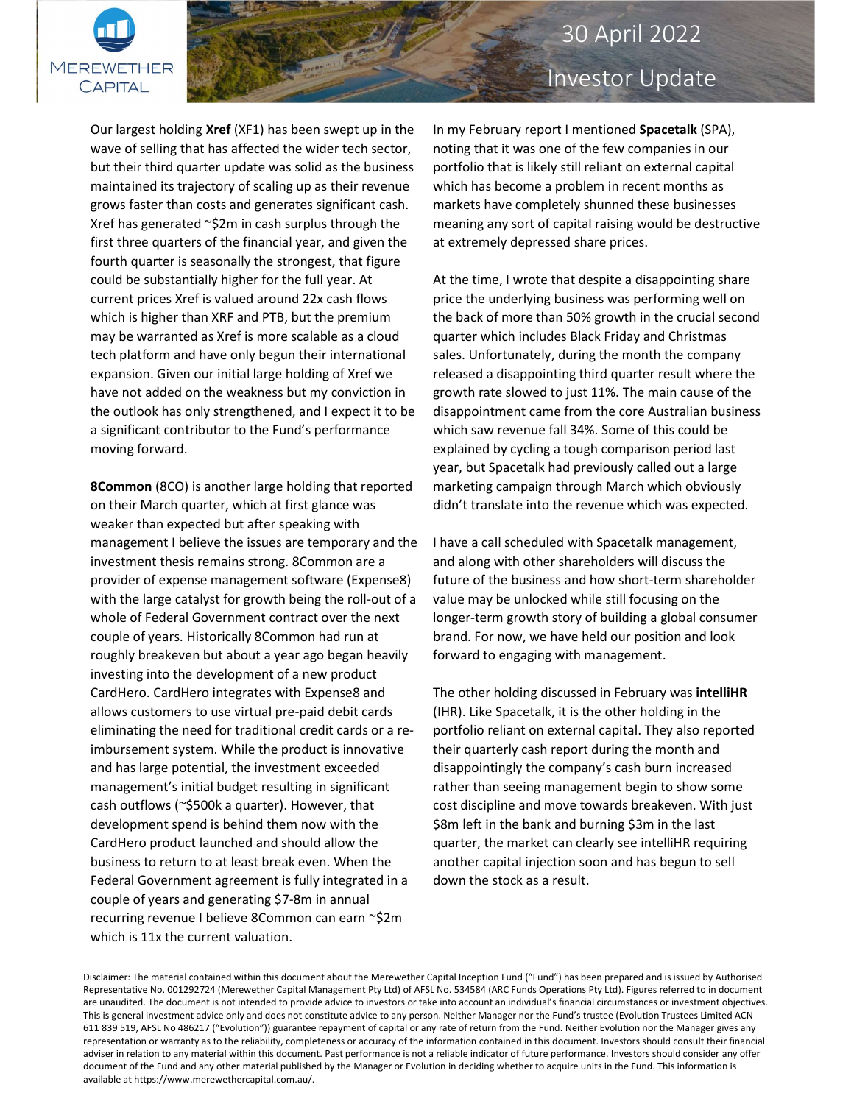

## 30 April 2022

# Investor Update

Our largest holding Xref (XF1) has been swept up in the wave of selling that has affected the wider tech sector, but their third quarter update was solid as the business maintained its trajectory of scaling up as their revenue grows faster than costs and generates significant cash. Xref has generated ~\$2m in cash surplus through the first three quarters of the financial year, and given the fourth quarter is seasonally the strongest, that figure could be substantially higher for the full year. At current prices Xref is valued around 22x cash flows which is higher than XRF and PTB, but the premium may be warranted as Xref is more scalable as a cloud tech platform and have only begun their international expansion. Given our initial large holding of Xref we have not added on the weakness but my conviction in the outlook has only strengthened, and I expect it to be a significant contributor to the Fund's performance moving forward.

8Common (8CO) is another large holding that reported on their March quarter, which at first glance was weaker than expected but after speaking with management I believe the issues are temporary and the investment thesis remains strong. 8Common are a provider of expense management software (Expense8) with the large catalyst for growth being the roll-out of a whole of Federal Government contract over the next couple of years. Historically 8Common had run at roughly breakeven but about a year ago began heavily investing into the development of a new product CardHero. CardHero integrates with Expense8 and allows customers to use virtual pre-paid debit cards eliminating the need for traditional credit cards or a reimbursement system. While the product is innovative and has large potential, the investment exceeded management's initial budget resulting in significant cash outflows (~\$500k a quarter). However, that development spend is behind them now with the CardHero product launched and should allow the business to return to at least break even. When the Federal Government agreement is fully integrated in a couple of years and generating \$7-8m in annual recurring revenue I believe 8Common can earn ~\$2m which is 11x the current valuation.

In my February report I mentioned Spacetalk (SPA), noting that it was one of the few companies in our portfolio that is likely still reliant on external capital which has become a problem in recent months as markets have completely shunned these businesses meaning any sort of capital raising would be destructive at extremely depressed share prices.

At the time, I wrote that despite a disappointing share price the underlying business was performing well on the back of more than 50% growth in the crucial second quarter which includes Black Friday and Christmas sales. Unfortunately, during the month the company released a disappointing third quarter result where the growth rate slowed to just 11%. The main cause of the disappointment came from the core Australian business which saw revenue fall 34%. Some of this could be explained by cycling a tough comparison period last year, but Spacetalk had previously called out a large marketing campaign through March which obviously didn't translate into the revenue which was expected.

I have a call scheduled with Spacetalk management, and along with other shareholders will discuss the future of the business and how short-term shareholder value may be unlocked while still focusing on the longer-term growth story of building a global consumer brand. For now, we have held our position and look forward to engaging with management.

The other holding discussed in February was intelliHR (IHR). Like Spacetalk, it is the other holding in the portfolio reliant on external capital. They also reported their quarterly cash report during the month and disappointingly the company's cash burn increased rather than seeing management begin to show some cost discipline and move towards breakeven. With just \$8m left in the bank and burning \$3m in the last quarter, the market can clearly see intelliHR requiring another capital injection soon and has begun to sell down the stock as a result.

Disclaimer: The material contained within this document about the Merewether Capital Inception Fund ("Fund") has been prepared and is issued by Authorised Representative No. 001292724 (Merewether Capital Management Pty Ltd) of AFSL No. 534584 (ARC Funds Operations Pty Ltd). Figures referred to in document are unaudited. The document is not intended to provide advice to investors or take into account an individual's financial circumstances or investment objectives. This is general investment advice only and does not constitute advice to any person. Neither Manager nor the Fund's trustee (Evolution Trustees Limited ACN 611 839 519, AFSL No 486217 ("Evolution")) guarantee repayment of capital or any rate of return from the Fund. Neither Evolution nor the Manager gives any representation or warranty as to the reliability, completeness or accuracy of the information contained in this document. Investors should consult their financial adviser in relation to any material within this document. Past performance is not a reliable indicator of future performance. Investors should consider any offer document of the Fund and any other material published by the Manager or Evolution in deciding whether to acquire units in the Fund. This information is available at https://www.merewethercapital.com.au/.